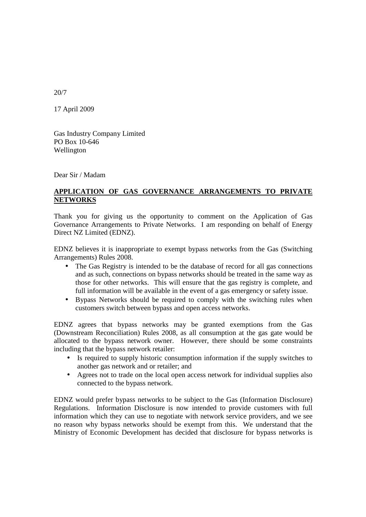20/7

17 April 2009

Gas Industry Company Limited PO Box 10-646 Wellington

Dear Sir / Madam

## **APPLICATION OF GAS GOVERNANCE ARRANGEMENTS TO PRIVATE NETWORKS**

Thank you for giving us the opportunity to comment on the Application of Gas Governance Arrangements to Private Networks. I am responding on behalf of Energy Direct NZ Limited (EDNZ).

EDNZ believes it is inappropriate to exempt bypass networks from the Gas (Switching Arrangements) Rules 2008.

- The Gas Registry is intended to be the database of record for all gas connections and as such, connections on bypass networks should be treated in the same way as those for other networks. This will ensure that the gas registry is complete, and full information will be available in the event of a gas emergency or safety issue.
- Bypass Networks should be required to comply with the switching rules when customers switch between bypass and open access networks.

EDNZ agrees that bypass networks may be granted exemptions from the Gas (Downstream Reconciliation) Rules 2008, as all consumption at the gas gate would be allocated to the bypass network owner. However, there should be some constraints including that the bypass network retailer:

- Is required to supply historic consumption information if the supply switches to another gas network and or retailer; and
- Agrees not to trade on the local open access network for individual supplies also connected to the bypass network.

EDNZ would prefer bypass networks to be subject to the Gas (Information Disclosure) Regulations. Information Disclosure is now intended to provide customers with full information which they can use to negotiate with network service providers, and we see no reason why bypass networks should be exempt from this. We understand that the Ministry of Economic Development has decided that disclosure for bypass networks is